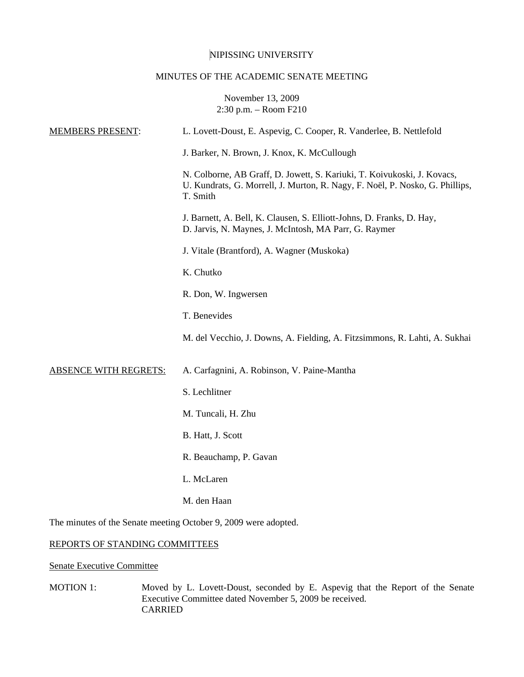# NIPISSING UNIVERSITY

# MINUTES OF THE ACADEMIC SENATE MEETING

November 13, 2009 2:30 p.m. – Room F210

| <b>MEMBERS PRESENT:</b>                                         | L. Lovett-Doust, E. Aspevig, C. Cooper, R. Vanderlee, B. Nettlefold                                                                                                 |
|-----------------------------------------------------------------|---------------------------------------------------------------------------------------------------------------------------------------------------------------------|
|                                                                 | J. Barker, N. Brown, J. Knox, K. McCullough                                                                                                                         |
|                                                                 | N. Colborne, AB Graff, D. Jowett, S. Kariuki, T. Koivukoski, J. Kovacs,<br>U. Kundrats, G. Morrell, J. Murton, R. Nagy, F. Noël, P. Nosko, G. Phillips,<br>T. Smith |
|                                                                 | J. Barnett, A. Bell, K. Clausen, S. Elliott-Johns, D. Franks, D. Hay,<br>D. Jarvis, N. Maynes, J. McIntosh, MA Parr, G. Raymer                                      |
|                                                                 | J. Vitale (Brantford), A. Wagner (Muskoka)                                                                                                                          |
|                                                                 | K. Chutko                                                                                                                                                           |
|                                                                 | R. Don, W. Ingwersen                                                                                                                                                |
|                                                                 | T. Benevides                                                                                                                                                        |
|                                                                 | M. del Vecchio, J. Downs, A. Fielding, A. Fitzsimmons, R. Lahti, A. Sukhai                                                                                          |
| <b>ABSENCE WITH REGRETS:</b>                                    | A. Carfagnini, A. Robinson, V. Paine-Mantha                                                                                                                         |
|                                                                 | S. Lechlitner                                                                                                                                                       |
|                                                                 | M. Tuncali, H. Zhu                                                                                                                                                  |
|                                                                 | B. Hatt, J. Scott                                                                                                                                                   |
|                                                                 | R. Beauchamp, P. Gavan                                                                                                                                              |
|                                                                 | L. McLaren                                                                                                                                                          |
|                                                                 | M. den Haan                                                                                                                                                         |
| The minutes of the Senate meeting October 9, 2009 were adopted. |                                                                                                                                                                     |

# REPORTS OF STANDING COMMITTEES

Senate Executive Committee

MOTION 1: Moved by L. Lovett-Doust, seconded by E. Aspevig that the Report of the Senate Executive Committee dated November 5, 2009 be received. CARRIED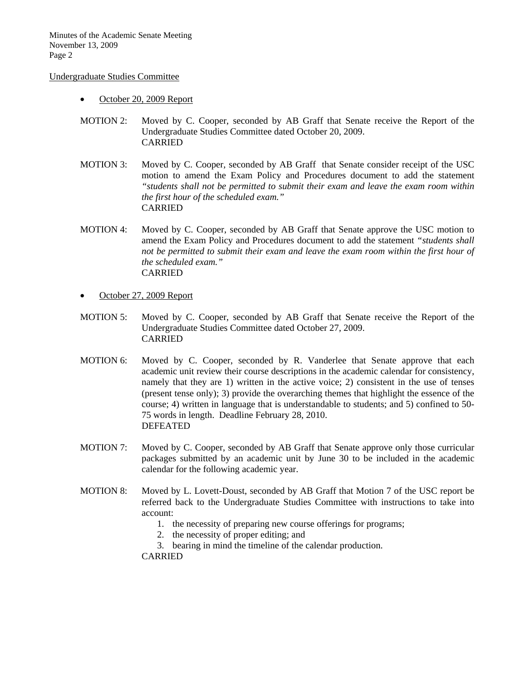#### Undergraduate Studies Committee

- October 20, 2009 Report
- MOTION 2: Moved by C. Cooper, seconded by AB Graff that Senate receive the Report of the Undergraduate Studies Committee dated October 20, 2009. CARRIED
- MOTION 3: Moved by C. Cooper, seconded by AB Graff that Senate consider receipt of the USC motion to amend the Exam Policy and Procedures document to add the statement *"students shall not be permitted to submit their exam and leave the exam room within the first hour of the scheduled exam."* CARRIED
- MOTION 4: Moved by C. Cooper, seconded by AB Graff that Senate approve the USC motion to amend the Exam Policy and Procedures document to add the statement *"students shall not be permitted to submit their exam and leave the exam room within the first hour of the scheduled exam."* CARRIED
- October 27, 2009 Report
- MOTION 5: Moved by C. Cooper, seconded by AB Graff that Senate receive the Report of the Undergraduate Studies Committee dated October 27, 2009. CARRIED
- MOTION 6: Moved by C. Cooper, seconded by R. Vanderlee that Senate approve that each academic unit review their course descriptions in the academic calendar for consistency, namely that they are 1) written in the active voice; 2) consistent in the use of tenses (present tense only); 3) provide the overarching themes that highlight the essence of the course; 4) written in language that is understandable to students; and 5) confined to 50- 75 words in length. Deadline February 28, 2010. DEFEATED
- MOTION 7: Moved by C. Cooper, seconded by AB Graff that Senate approve only those curricular packages submitted by an academic unit by June 30 to be included in the academic calendar for the following academic year.
- MOTION 8: Moved by L. Lovett-Doust, seconded by AB Graff that Motion 7 of the USC report be referred back to the Undergraduate Studies Committee with instructions to take into account:
	- 1. the necessity of preparing new course offerings for programs;
	- 2. the necessity of proper editing; and
	- 3. bearing in mind the timeline of the calendar production.

CARRIED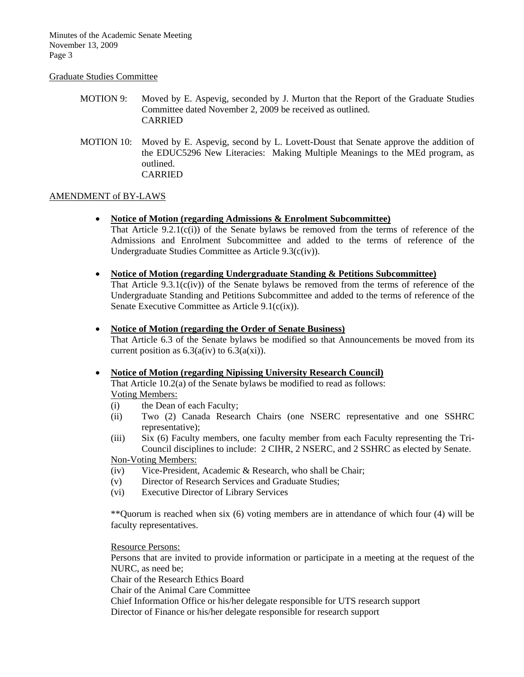#### Graduate Studies Committee

- MOTION 9: Moved by E. Aspevig, seconded by J. Murton that the Report of the Graduate Studies Committee dated November 2, 2009 be received as outlined. CARRIED
- MOTION 10: Moved by E. Aspevig, second by L. Lovett-Doust that Senate approve the addition of the EDUC5296 New Literacies: Making Multiple Meanings to the MEd program, as outlined. CARRIED

### AMENDMENT of BY-LAWS

- **Notice of Motion (regarding Admissions & Enrolment Subcommittee)**
	- That Article  $9.2.1(c(i))$  of the Senate bylaws be removed from the terms of reference of the Admissions and Enrolment Subcommittee and added to the terms of reference of the Undergraduate Studies Committee as Article 9.3(c(iv)).
- **Notice of Motion (regarding Undergraduate Standing & Petitions Subcommittee)** That Article  $9.3.1(c(iv))$  of the Senate bylaws be removed from the terms of reference of the Undergraduate Standing and Petitions Subcommittee and added to the terms of reference of the Senate Executive Committee as Article 9.1(c(ix)).
- **Notice of Motion (regarding the Order of Senate Business)**
	- That Article 6.3 of the Senate bylaws be modified so that Announcements be moved from its current position as  $6.3(a(iv)$  to  $6.3(a(xi))$ .

# • **Notice of Motion (regarding Nipissing University Research Council)**

That Article 10.2(a) of the Senate bylaws be modified to read as follows: Voting Members:

- (i) the Dean of each Faculty;
- (ii) Two (2) Canada Research Chairs (one NSERC representative and one SSHRC representative);
- (iii) Six (6) Faculty members, one faculty member from each Faculty representing the Tri-Council disciplines to include: 2 CIHR, 2 NSERC, and 2 SSHRC as elected by Senate.

Non-Voting Members:

- (iv) Vice-President, Academic & Research, who shall be Chair;
- (v) Director of Research Services and Graduate Studies;
- (vi) Executive Director of Library Services

\*\*Quorum is reached when six (6) voting members are in attendance of which four (4) will be faculty representatives.

Resource Persons:

Persons that are invited to provide information or participate in a meeting at the request of the NURC, as need be;

Chair of the Research Ethics Board

Chair of the Animal Care Committee

Chief Information Office or his/her delegate responsible for UTS research support

Director of Finance or his/her delegate responsible for research support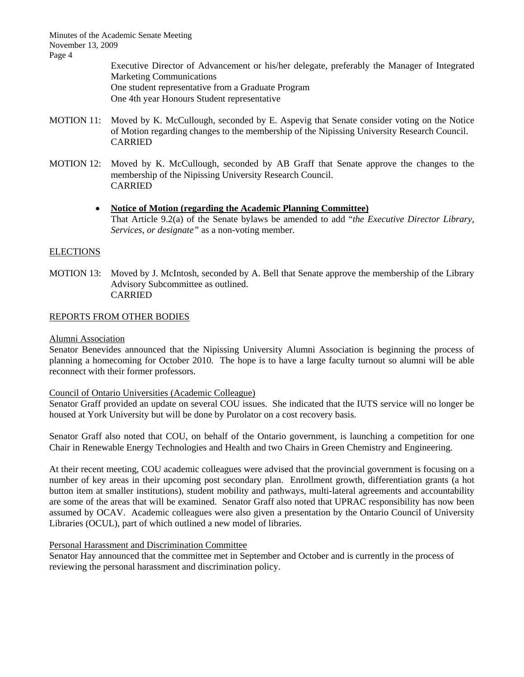> Executive Director of Advancement or his/her delegate, preferably the Manager of Integrated Marketing Communications One student representative from a Graduate Program One 4th year Honours Student representative

- MOTION 11: Moved by K. McCullough, seconded by E. Aspevig that Senate consider voting on the Notice of Motion regarding changes to the membership of the Nipissing University Research Council. CARRIED
- MOTION 12: Moved by K. McCullough, seconded by AB Graff that Senate approve the changes to the membership of the Nipissing University Research Council. CARRIED

# • **Notice of Motion (regarding the Academic Planning Committee)** That Article 9.2(a) of the Senate bylaws be amended to add "*the Executive Director Library, Services, or designate"* as a non-voting member.

# **ELECTIONS**

MOTION 13: Moved by J. McIntosh, seconded by A. Bell that Senate approve the membership of the Library Advisory Subcommittee as outlined. CARRIED

# REPORTS FROM OTHER BODIES

# Alumni Association

Senator Benevides announced that the Nipissing University Alumni Association is beginning the process of planning a homecoming for October 2010. The hope is to have a large faculty turnout so alumni will be able reconnect with their former professors.

# Council of Ontario Universities (Academic Colleague)

Senator Graff provided an update on several COU issues. She indicated that the IUTS service will no longer be housed at York University but will be done by Purolator on a cost recovery basis.

Senator Graff also noted that COU, on behalf of the Ontario government, is launching a competition for one Chair in Renewable Energy Technologies and Health and two Chairs in Green Chemistry and Engineering.

At their recent meeting, COU academic colleagues were advised that the provincial government is focusing on a number of key areas in their upcoming post secondary plan. Enrollment growth, differentiation grants (a hot button item at smaller institutions), student mobility and pathways, multi-lateral agreements and accountability are some of the areas that will be examined. Senator Graff also noted that UPRAC responsibility has now been assumed by OCAV. Academic colleagues were also given a presentation by the Ontario Council of University Libraries (OCUL), part of which outlined a new model of libraries.

# Personal Harassment and Discrimination Committee

Senator Hay announced that the committee met in September and October and is currently in the process of reviewing the personal harassment and discrimination policy.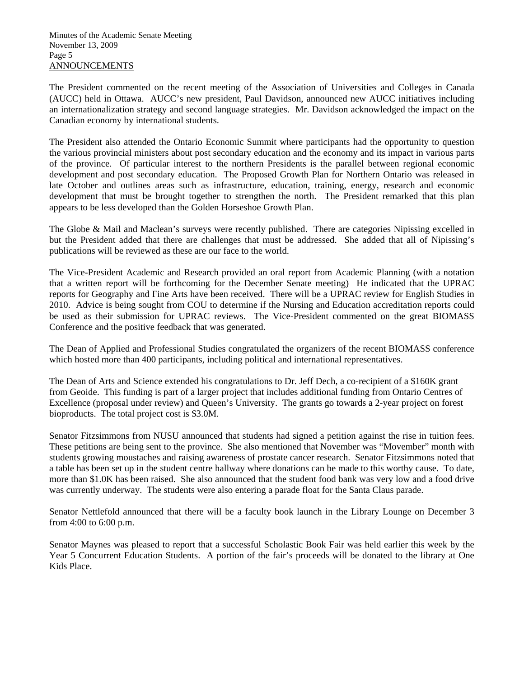The President commented on the recent meeting of the Association of Universities and Colleges in Canada (AUCC) held in Ottawa. AUCC's new president, Paul Davidson, announced new AUCC initiatives including an internationalization strategy and second language strategies. Mr. Davidson acknowledged the impact on the Canadian economy by international students.

The President also attended the Ontario Economic Summit where participants had the opportunity to question the various provincial ministers about post secondary education and the economy and its impact in various parts of the province. Of particular interest to the northern Presidents is the parallel between regional economic development and post secondary education. The Proposed Growth Plan for Northern Ontario was released in late October and outlines areas such as infrastructure, education, training, energy, research and economic development that must be brought together to strengthen the north. The President remarked that this plan appears to be less developed than the Golden Horseshoe Growth Plan.

The Globe & Mail and Maclean's surveys were recently published. There are categories Nipissing excelled in but the President added that there are challenges that must be addressed. She added that all of Nipissing's publications will be reviewed as these are our face to the world.

The Vice-President Academic and Research provided an oral report from Academic Planning (with a notation that a written report will be forthcoming for the December Senate meeting) He indicated that the UPRAC reports for Geography and Fine Arts have been received. There will be a UPRAC review for English Studies in 2010. Advice is being sought from COU to determine if the Nursing and Education accreditation reports could be used as their submission for UPRAC reviews. The Vice-President commented on the great BIOMASS Conference and the positive feedback that was generated.

The Dean of Applied and Professional Studies congratulated the organizers of the recent BIOMASS conference which hosted more than 400 participants, including political and international representatives.

The Dean of Arts and Science extended his congratulations to Dr. Jeff Dech, a co-recipient of a \$160K grant from Geoide. This funding is part of a larger project that includes additional funding from Ontario Centres of Excellence (proposal under review) and Queen's University. The grants go towards a 2-year project on forest bioproducts. The total project cost is \$3.0M.

Senator Fitzsimmons from NUSU announced that students had signed a petition against the rise in tuition fees. These petitions are being sent to the province. She also mentioned that November was "Movember" month with students growing moustaches and raising awareness of prostate cancer research. Senator Fitzsimmons noted that a table has been set up in the student centre hallway where donations can be made to this worthy cause. To date, more than \$1.0K has been raised. She also announced that the student food bank was very low and a food drive was currently underway. The students were also entering a parade float for the Santa Claus parade.

Senator Nettlefold announced that there will be a faculty book launch in the Library Lounge on December 3 from 4:00 to 6:00 p.m.

Senator Maynes was pleased to report that a successful Scholastic Book Fair was held earlier this week by the Year 5 Concurrent Education Students. A portion of the fair's proceeds will be donated to the library at One Kids Place.